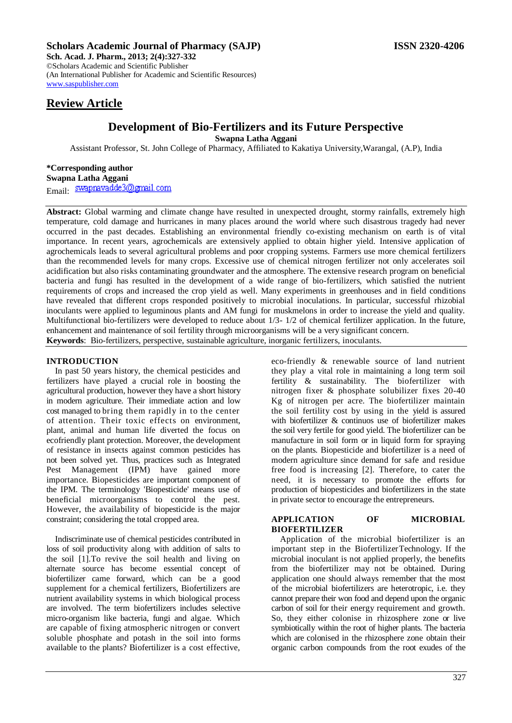# **Scholars Academic Journal of Pharmacy (SAJP) ISSN 2320-4206**

**Sch. Acad. J. Pharm., 2013; 2(4):327-332** ©Scholars Academic and Scientific Publisher (An International Publisher for Academic and Scientific Resources) [www.saspublisher.com](http://www.saspublisher.com/) 

# **Review Article**

# **Development of Bio-Fertilizers and its Future Perspective**

**Swapna Latha Aggani**

Assistant Professor, St. John College of Pharmacy, Affiliated to Kakatiya University,Warangal, (A.P), India

### **\*Corresponding author**

**Swapna Latha Aggani**

Email: swapravadde3@gmail.com

**Abstract:** Global warming and climate change have resulted in unexpected drought, stormy rainfalls, extremely high temperature, cold damage and hurricanes in many places around the world where such disastrous tragedy had never occurred in the past decades. Establishing an environmental friendly co-existing mechanism on earth is of vital importance. In recent years, agrochemicals are extensively applied to obtain higher yield. Intensive application of agrochemicals leads to several agricultural problems and poor cropping systems. Farmers use more chemical fertilizers than the recommended levels for many crops. Excessive use of chemical nitrogen fertilizer not only accelerates soil acidification but also risks contaminating groundwater and the atmosphere. The extensive research program on beneficial bacteria and fungi has resulted in the development of a wide range of bio-fertilizers, which satisfied the nutrient requirements of crops and increased the crop yield as well. Many experiments in greenhouses and in field conditions have revealed that different crops responded positively to microbial inoculations. In particular, successful rhizobial inoculants were applied to leguminous plants and AM fungi for muskmelons in order to increase the yield and quality. Multifunctional bio-fertilizers were developed to reduce about 1/3- 1/2 of chemical fertilizer application. In the future, enhancement and maintenance of soil fertility through microorganisms will be a very significant concern. **Keywords**: Bio-fertilizers, perspective, sustainable agriculture, inorganic fertilizers, inoculants.

#### **INTRODUCTION**

In past 50 years history, the chemical pesticides and fertilizers have played a crucial role in boosting the agricultural production, however they have a short history in modern agriculture. Their immediate action and low cost managed to bring them rapidly in to the center of attention. Their toxic effects on environment, plant, animal and human life diverted the focus on ecofriendly plant protection. Moreover, the development of resistance in insects against common pesticides has not been solved yet. Thus, practices such as Integrated Pest Management (IPM) have gained more importance. Biopesticides are important component of the IPM. The terminology 'Biopesticide' means use of beneficial microorganisms to control the pest. However, the availability of biopesticide is the major constraint; considering the total cropped area.

Indiscriminate use of chemical pesticides contributed in loss of soil productivity along with addition of salts to the soil [1].To revive the soil health and living on alternate source has become essential concept of biofertilizer came forward, which can be a good supplement for a chemical fertilizers, Biofertilizers are nutrient availability systems in which biological process are involved. The term biofertilizers includes selective micro-organism like bacteria, fungi and algae. Which are capable of fixing atmospheric nitrogen or convert soluble phosphate and potash in the soil into forms available to the plants? Biofertilizer is a cost effective,

eco-friendly & renewable source of land nutrient they play a vital role in maintaining a long term soil fertility & sustainability. The biofertilizer with nitrogen fixer & phosphate solubilizer fixes 20-40 Kg of nitrogen per acre. The biofertilizer maintain the soil fertility cost by using in the yield is assured with biofertilizer & continuos use of biofertilizer makes the soil very fertile for good yield. The biofertilizer can be manufacture in soil form or in liquid form for spraying on the plants. Biopesticide and biofertilizer is a need of modern agriculture since demand for safe and residue free food is increasing [2]. Therefore, to cater the need, it is necessary to promote the efforts for production of biopesticides and biofertilizers in the state in private sector to encourage the entrepreneurs.

### **APPLICATION OF MICROBIAL BIOFERTILIZER**

Application of the microbial biofertilizer is an important step in the BiofertilizerTechnology. If the microbial inoculant is not applied properly, the benefits from the biofertilizer may not be obtained. During application one should always remember that the most of the microbial biofertilizers are heterotropic, i.e. they cannot prepare their won food and depend upon the organic carbon of soil for their energy requirement and growth. So, they either colonise in rhizosphere zone or live symbiotically within the root of higher plants. The bacteria which are colonised in the rhizosphere zone obtain their organic carbon compounds from the root exudes of the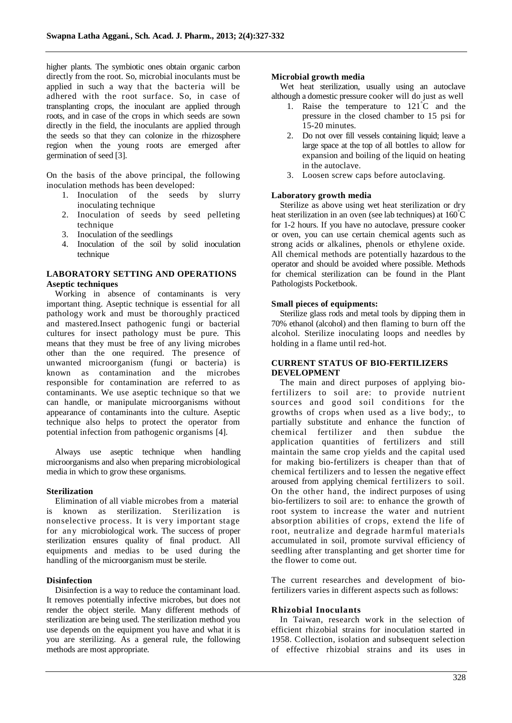higher plants. The symbiotic ones obtain organic carbon directly from the root. So, microbial inoculants must be applied in such a way that the bacteria will be adhered with the root surface. So, in case of transplanting crops, the inoculant are applied through roots, and in case of the crops in which seeds are sown directly in the field, the inoculants are applied through the seeds so that they can colonize in the rhizosphere region when the young roots are emerged after germination of seed [3].

On the basis of the above principal, the following inoculation methods has been developed:

- 1. Inoculation of the seeds by slurry inoculating technique
- 2. Inoculation of seeds by seed pelleting technique
- 3. Inoculation of the seedlings
- 4. Inoculation of the soil by solid inoculation technique

#### **LABORATORY SETTING AND OPERATIONS Aseptic techniques**

Working in absence of contaminants is very important thing. Aseptic technique is essential for all pathology work and must be thoroughly practiced and mastered.Insect pathogenic fungi or bacterial cultures for insect pathology must be pure. This means that they must be free of any living microbes other than the one required. The presence of unwanted microorganism (fungi or bacteria) is known as contamination and the microbes responsible for contamination are referred to as contaminants. We use aseptic technique so that we can handle, or manipulate microorganisms without appearance of contaminants into the culture. Aseptic technique also helps to protect the operator from potential infection from pathogenic organisms [4].

Always use aseptic technique when handling microorganisms and also when preparing microbiological media in which to grow these organisms.

#### **Sterilization**

Elimination of all viable microbes from a material is known as sterilization. Sterilization is nonselective process. It is very important stage for any microbiological work. The success of proper sterilization ensures quality of final product. All equipments and medias to be used during the handling of the microorganism must be sterile.

#### **Disinfection**

Disinfection is a way to reduce the contaminant load. It removes potentially infective microbes, but does not render the object sterile. Many different methods of sterilization are being used. The sterilization method you use depends on the equipment you have and what it is you are sterilizing. As a general rule, the following methods are most appropriate.

#### **Microbial growth media**

Wet heat sterilization, usually using an autoclave although a domestic pressure cooker will do just as well

- 1. Raise the temperature to 121°C and the pressure in the closed chamber to 15 psi for 15-20 minutes.
- 2. Do not over fill vessels containing liquid; leave a large space at the top of all bottles to allow for expansion and boiling of the liquid on heating in the autoclave.
- 3. Loosen screw caps before autoclaving.

# **Laboratory growth media**

Sterilize as above using wet heat sterilization or dry heat sterilization in an oven (see lab techniques) at 160°C for 1-2 hours. If you have no autoclave, pressure cooker or oven, you can use certain chemical agents such as strong acids or alkalines, phenols or ethylene oxide. All chemical methods are potentially hazardous to the operator and should be avoided where possible. Methods for chemical sterilization can be found in the Plant Pathologists Pocketbook.

#### **Small pieces of equipments:**

Sterilize glass rods and metal tools by dipping them in 70% ethanol (alcohol) and then flaming to burn off the alcohol. Sterilize inoculating loops and needles by holding in a flame until red-hot.

# **CURRENT STATUS OF BIO-FERTILIZERS DEVELOPMENT**

The main and direct purposes of applying biofertilizers to soil are: to provide nutrient sources and good soil conditions for the growths of crops when used as a live body;, to partially substitute and enhance the function of chemical fertilizer and then subdue the application quantities of fertilizers and still maintain the same crop yields and the capital used for making bio-fertilizers is cheaper than that of chemical fertilizers and to lessen the negative effect aroused from applying chemical fertilizers to soil. On the other hand, the indirect purposes of using bio-fertilizers to soil are: to enhance the growth of root system to increase the water and nutrient absorption abilities of crops, extend the life of root, neutralize and degrade harmful materials accumulated in soil, promote survival efficiency of seedling after transplanting and get shorter time for the flower to come out.

The current researches and development of biofertilizers varies in different aspects such as follows:

#### **Rhizobial Inoculants**

In Taiwan, research work in the selection of efficient rhizobial strains for inoculation started in 1958. Collection, isolation and subsequent selection of effective rhizobial strains and its uses in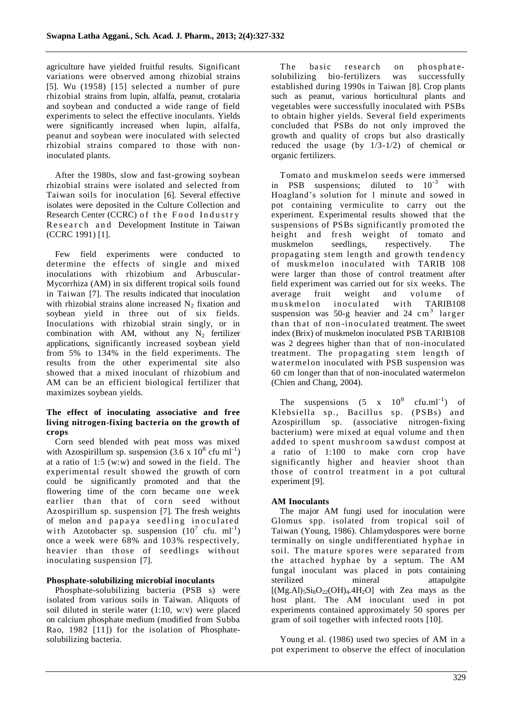agriculture have yielded fruitful results. Significant variations were observed among rhizobial strains [5]. Wu (1958) [15] selected a number of pure rhizobial strains from lupin, alfalfa, peanut, crotalaria and soybean and conducted a wide range of field experiments to select the effective inoculants. Yields were significantly increased when lupin, alfalfa, peanut and soybean were inoculated with selected rhizobial strains compared to those with noninoculated plants.

After the 1980s, slow and fast-growing soybean rhizobial strains were isolated and selected from Taiwan soils for inoculation [6]. Several effective isolates were deposited in the Culture Collection and Research Center (CCRC) of the Food Industry Research and Development Institute in Taiwan (CCRC 1991) [1].

Few field experiments were conducted to determine the effects of single and mixed inoculations with rhizobium and Arbuscular-Mycorrhiza (AM) in six different tropical soils found in Taiwan [7]. The results indicated that inoculation with rhizobial strains alone increased  $N<sub>2</sub>$  fixation and soybean yield in three out of six fields. Inoculations with rhizobial strain singly, or in combination with AM, without any  $N_2$  fertilizer applications, significantly increased soybean yield from 5% to 134% in the field experiments. The results from the other experimental site also showed that a mixed inoculant of rhizobium and AM can be an efficient biological fertilizer that maximizes soybean yields.

# **The effect of inoculating associative and free living nitrogen-fixing bacteria on the growth of crops**

Corn seed blended with peat moss was mixed with Azospirillum sp. suspension  $(3.6 \times 10^8 \text{ cftu} \text{ ml}^{-1})$ at a ratio of 1:5 (w:w) and sowed in the field. The experimental result showed the growth of corn could be significantly promoted and that the flowering time of the corn became one week earlier than that of corn seed without Azospirillum sp. suspension [7]. The fresh weights of melon and papaya seedling inoculated with Azotobacter sp. suspension  $(10^7 \text{ cftu. ml}^{-1})$ once a week were 68% and 103% respectively, heavier than those of seedlings without inoculating suspension [7].

# **Phosphate-solubilizing microbial inoculants**

Phosphate-solubilizing bacteria (PSB s) were isolated from various soils in Taiwan. Aliquots of soil diluted in sterile water (1:10, w:v) were placed on calcium phosphate medium (modified from Subba Rao, 1982 [11]) for the isolation of Phosphatesolubilizing bacteria.

The basic research on phosphatesolubilizing bio-fertilizers was successfully established during 1990s in Taiwan [8]. Crop plants such as peanut, various horticultural plants and vegetables were successfully inoculated with PSBs to obtain higher yields. Several field experiments concluded that PSBs do not only improved the growth and quality of crops but also drastically reduced the usage (by 1/3-1/2) of chemical or organic fertilizers.

Tomato and muskmelon seeds were immersed in PSB suspensions; diluted to  $10^{-3}$  with Hoagland's solution for 1 minute and sowed in pot containing vermiculite to carry out the experiment. Experimental results showed that the suspensions of PSBs significantly promoted the height and fresh weight of tomato and muskmelon seedlings, respectively. The propagating stem length and growth tendency of muskmelon inoculated with TARIB 108 were larger than those of control treatment after field experiment was carried out for six weeks. The average fruit weight and volume of muskmelon inoculated with TARIB108 suspension was  $50-g$  heavier and  $24 \text{ cm}^3$  larger than that of non-inoculated treatment. The sweet index (Brix) of muskmelon inoculated PSB TARIB108 was 2 degrees higher than that of non-inoculated treatment. The propagating stem length of watermel on inoculated with PSB suspension was 60 cm longer than that of non-inoculated watermelon (Chien and Chang, 2004).

The suspensions  $(5 \times 10^8)$  $cfu.ml^{-1}$ ) of Klebsiella sp., Bacillus sp. (PSBs) and Azospirillum sp. (associative nitrogen-fixing bacterium) were mixed at equal volume and then added to spent mushroom sawdust compost at a ratio of 1:100 to make corn crop have significantly higher and heavier shoot than those of control treatment in a pot cultural experiment [9].

# **AM Inoculants**

The major AM fungi used for inoculation were Glomus spp. isolated from tropical soil of Taiwan (Young, 1986). Chlamydospores were borne terminally on single undifferentiated h yphae in soil. The mature spores were separated from the attached hyphae by a septum. The AM fungal inoculant was placed in pots containing sterilized mineral attapulgite  $[(Mg.AI)_{5}Si_8O_{22}(OH)_4.4H_2O]$  with Zea mays as the host plant. The AM inoculant used in pot experiments contained approximately 50 spores per gram of soil together with infected roots [10].

Young et al. (1986) used two species of AM in a pot experiment to observe the effect of inoculation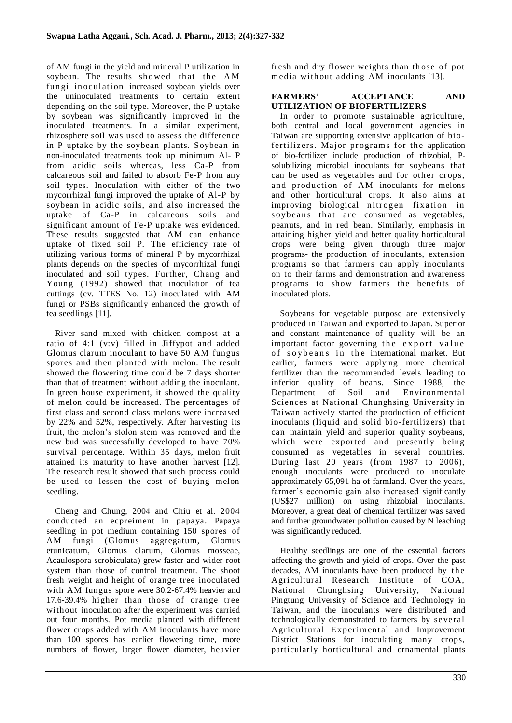of AM fungi in the yield and mineral P utilization in soybean. The results showed that the AM fungi in oculation increased soybean yields over the uninoculated treatments to certain extent depending on the soil type. Moreover, the P uptake by soybean was significantly improved in the inoculated treatments. In a similar experiment, rhizosphere soil was used to assess the difference in P uptake by the soybean plants. Soybean in non-inoculated treatments took up minimum Al- P from acidic soils whereas, less Ca-P from calcareous soil and failed to absorb Fe-P from any soil types. Inoculation with either of the two mycorrhizal fungi improved the uptake of Al-P by soybean in acidic soils, and also increased the uptake of Ca-P in calcareous soils and significant amount of Fe-P uptake was evidenced. These results suggested that AM can enhance uptake of fixed soil P. The efficiency rate of utilizing various forms of mineral P by mycorrhizal plants depends on the species of mycorrhizal fungi inoculated and soil types. Further, Chang and Young (1992) showed that inoculation of tea cuttings (cv. TTES No. 12) inoculated with AM fungi or PSBs significantly enhanced the growth of tea seedlings [11].

River sand mixed with chicken compost at a ratio of 4:1 (v:v) filled in Jiffypot and added Glomus clarum inoculant to have 50 AM fungus spores and then planted with melon. The result showed the flowering time could be 7 days shorter than that of treatment without adding the inoculant. In green house experiment, it showed the quality of melon could be increased. The percentages of first class and second class melons were increased by 22% and 52%, respectively. After harvesting its fruit, the melon's stolon stem was removed and the new bud was successfully developed to have 70% survival percentage. Within 35 days, melon fruit attained its maturity to have another harvest [12]. The research result showed that such process could be used to lessen the cost of buying melon seedling.

Cheng and Chung, 2004 and Chiu et al. 2004 conducted an ecpreiment in papaya. Papaya seedling in pot medium containing 150 spores of AM fungi (Glomus aggregatum, Glomus etunicatum, Glomus clarum, Glomus mosseae, Acaulospora scrobiculata) grew faster and wider root system than those of control treatment. The shoot fresh weight and height of orange tree inoculated with AM fungus spore were 30.2-67.4% heavier and 17.6-39.4% higher than those of orange tree without inoculation after the experiment was carried out four months. Pot media planted with different flower crops added with AM inoculants have more than 100 spores has earlier flowering time, more numbers of flower, larger flower diameter, heavier

fresh and dry flower weights than those of pot media without adding AM inoculants [13].

# **FARMERS' ACCEPTANCE AND UTILIZATION OF BIOFERTILIZERS**

In order to promote sustainable agriculture, both central and local government agencies in Taiwan are supporting extensive application of bi ofertilizers. Major programs for the application of bio-fertilizer include production of rhizobial, Psolubilizing microbial inoculants for soybeans that can be used as vegetables and for other crops, and production of AM inoculants for melons and other horticultural crops. It also aims at improving biological nitrogen fixation in soybe ans that are consumed as vegetables, peanuts, and in red bean. Similarly, emphasis in attaining higher yield and better quality horticultural crops were being given through three major programs- the production of inoculants, extension programs so that farmers can apply inoculants on to their farms and demonstration and awareness programs to show farmers the benefits of inoculated plots.

Soybeans for vegetable purpose are extensively produced in Taiwan and exported to Japan. Superior and constant maintenance of quality will be an important factor governing the export value of soybeans in the international market. But earlier, farmers were applying more chemical fertilizer than the recommended levels leading to inferior quality of beans. Since 1988, the Department of Soil and Environmental Sciences at National Chunghsing University in Taiwan actively started the production of efficient inoculants (liquid and solid bio-fertilizers) that can maintain yield and superior quality soybeans, which were exported and presently being consumed as vegetables in several countries. During last 20 years (from 1987 to 2006), enough inoculants were produced to inoculate approximately 65,091 ha of farmland. Over the years, farmer's economic gain also increased significantly (US\$27 million) on using rhizobial inoculants. Moreover, a great deal of chemical fertilizer was saved and further groundwater pollution caused by N leaching was significantly reduced.

Healthy seedlings are one of the essential factors affecting the growth and yield of crops. Over the past decades, AM inoculants have been produced by the Agricultural Research Institute of COA, National Chunghsing University, National Pingtung University of Science and Technology in Taiwan, and the inoculants were distributed and technologically demonstrated to farmers by se veral Agricultural Experimental and Improvement District Stations for inoculating many crops, particularly horticultural and ornamental plants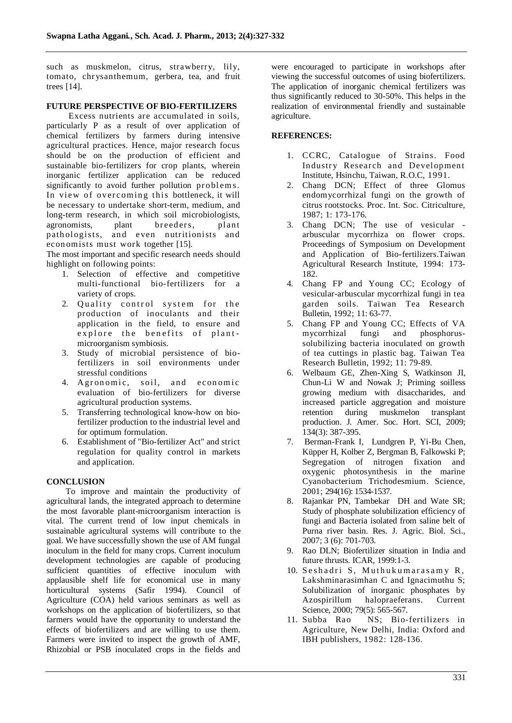such as muskmelon, citrus, strawberry, lily, tomato, chrysanthemum, gerbera, tea, and fruit trees [14].

# **FUTURE PERSPECTIVE OF BIO-FERTILIZERS**

 Excess nutrients are accumulated in soils, particularly P as a result of over application of chemical fertilizers by farmers during intensive agricultural practices. Hence, major research focus should be on the production of efficient and sustainable bio-fertilizers for crop plants, wherein inorganic fertilizer application can be reduced significantly to avoid further pollution problems. In view of overcoming this bottleneck, it will be necessary to undertake short-term, medium, and long-term research, in which soil microbiologists, agronomists, plant breeders, plant pathologists, and even nutritionists and econ omists must work together [15].

The most important and specific research needs should highlight on following points:

- 1. Selection of effective and competitive multi-functional bio-fertilizers for a variety of crops.
- 2. Quality control system for the production of inoculants and their application in the field, to ensure and explore the benefits of plantmicroorganism symbiosis.
- 3. Study of microbial persistence of biofertilizers in soil environments under stressful conditions
- 4. Agronomic, soil, and economic evaluation of bio-fertilizers for diverse agricultural production systems.
- 5. Transferring technological know-how on biofertilizer production to the industrial level and for optimum formulation.
- 6. Establishment of "Bio-fertilizer Act" and strict regulation for quality control in markets and application.

# **CONCLUSION**

 To improve and maintain the productivity of agricultural lands, the integrated approach to determine the most favorable plant-microorganism interaction is vital. The current trend of low input chemicals in sustainable agricultural systems will contribute to the goal. We have successfully shown the use of AM fungal inoculum in the field for many crops. Current inoculum development technologies are capable of producing sufficient quantities of effective inoculum with applausible shelf life for economical use in many horticultural systems (Safir 1994). Council of Agriculture (COA) held various seminars as well as workshops on the application of biofertilizers, so that farmers would have the opportunity to understand the effects of biofertilizers and are willing to use them. Farmers were invited to inspect the growth of AMF, Rhizobial or PSB inoculated crops in the fields and

were encouraged to participate in workshops after viewing the successful outcomes of using biofertilizers. The application of inorganic chemical fertilizers was thus significantly reduced to 30-50%. This helps in the realization of environmental friendly and sustainable agriculture.

# **REFERENCES:**

- 1. CCRC, Catalogue of Strains. Food Industry Research and Development Institute, Hsinchu, Taiwan, R.O.C, 1991.
- 2. Chang DCN; Effect of three Glomus endomycorrhizal fungi on the growth of citrus rootstocks. Proc. Int. Soc. Citriculture, 1987; 1: 173-176.
- 3. Chang DCN; The use of vesicular arbuscular mycorrhiza on flower crops. Proceedings of Symposium on Development and Application of Bio-fertilizers.Taiwan Agricultural Research Institute, 1994: 173- 182.
- 4. Chang FP and Young CC; Ecology of vesicular-arbuscular mycorrhizal fungi in tea garden soils. Taiwan Tea Research Bulletin, 1992; 11: 63-77.
- 5. Chang FP and Young CC; Effects of VA mycorrhizal fungi and phosphorussolubilizing bacteria inoculated on growth of tea cuttings in plastic bag. Taiwan Tea Research Bulletin, 1992; 11: 79-89.
- 6. Welbaum GE, Zhen-Xing S, Watkinson JI, Chun-Li W and Nowak J; Priming soilless growing medium with disaccharides, and increased particle aggregation and moisture retention during muskmelon transplant production. J. Amer. Soc. Hort. SCI, 2009; 134(3): 387-395.
- 7. Berman-Frank I, Lundgren P, Yi-Bu Chen, Küpper H, Kolber Z, Bergman B, Falkowski P; Segregation of nitrogen fixation and oxygenic photosynthesis in the marine Cyanobacterium Trichodesmium. Science, 2001; 294(16): 1534-1537.
- 8. Rajankar PN, Tambekar DH and Wate SR; Study of phosphate solubilization efficiency of fungi and Bacteria isolated from saline belt of Purna river basin. Res. J. Agric. Biol. Sci., 2007; 3 (6): 701-703.
- 9. Rao DLN; Biofertilizer situation in India and future thrusts. ICAR, 1999:1-3.
- 10. Seshadri S, Muthukumarasamy R, Lakshminarasimhan C and Ignacimuthu S; Solubilization of inorganic phosphates by Azospirillum halopraeferans. Current Science, 2000; 79(5): 565-567.
- 11. Subba Rao NS; Bio-fertilizers in Agriculture, New Delhi, India: Oxford and IBH publishers, 1982: 128-136.